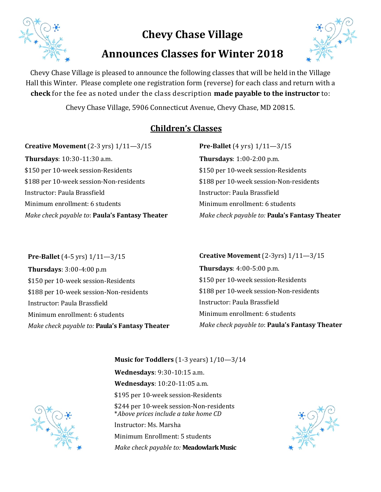

# **Chevy Chase Village**

# **Announces Classes for Winter 2018**



Chevy Chase Village is pleased to announce the following classes that will be held in the Village Hall this Winter. Please complete one registration form (reverse) for each class and return with a **check** for the fee as noted under the class description **made payable to the instructor** to:

Chevy Chase Village, 5906 Connecticut Avenue, Chevy Chase, MD 20815.

## **Children's Classes**

**Creative Movement** (2-3 yrs) 1/11—3/15 **Thursdays**: 10:30-11:30 a.m. \$150 per 10-week session-Residents \$188 per 10-week session-Non-residents Instructor: Paula Brassfield Minimum enrollment: 6 students *Make check payable to*: **Paula's Fantasy Theater**  **Pre-Ballet** (4 yrs) 1/11—3/15 **Thursdays**: 1:00-2:00 p.m. \$150 per 10-week session-Residents \$188 per 10-week session-Non-residents Instructor: Paula Brassfield Minimum enrollment: 6 students *Make check payable to:* **Paula's Fantasy Theater**

**Pre-Ballet** (4-5 yrs) 1/11—3/15 **Thursdays**: 3:00-4:00 p.m \$150 per 10-week session-Residents \$188 per 10-week session-Non-residents Instructor: Paula Brassfield Minimum enrollment: 6 students *Make check payable to:* **Paula's Fantasy Theater** **Creative Movement** (2-3yrs) 1/11—3/15 **Thursdays**: 4:00-5:00 p.m. \$150 per 10-week session-Residents \$188 per 10-week session-Non-residents Instructor: Paula Brassfield Minimum enrollment: 6 students *Make check payable to*: **Paula's Fantasy Theater** 

**Wednesdays**: 10:20-11:05 a.m. \$195 per 10-week session-Residents \$244 per 10-week session-Non-residents \**Above prices include a take home CD* Instructor: Ms. Marsha Minimum Enrollment: 5 students *Make check payable to:* **Meadowlark Music** 

**Wednesdays**: 9:30-10:15 a.m.

**Music for Toddlers** (1-3 years) 1/10—3/14